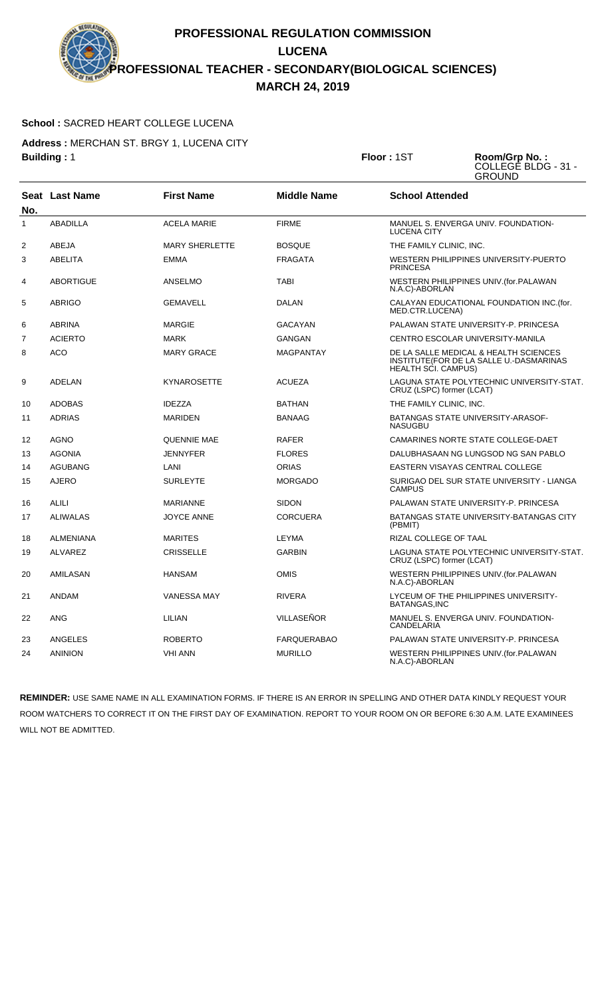# **School :** SACRED HEART COLLEGE LUCENA

**Address :** MERCHAN ST. BRGY 1, LUCENA CITY **Building :** 1 **Floor :** 1ST **Room/Grp No. :**

COLLEGE BLDG - 31 - GROUND

| No.            | Seat Last Name   | <b>First Name</b>     | <b>Middle Name</b> | <b>School Attended</b>                                                                                         |
|----------------|------------------|-----------------------|--------------------|----------------------------------------------------------------------------------------------------------------|
| 1              | <b>ABADILLA</b>  | <b>ACELA MARIE</b>    | <b>FIRME</b>       | MANUEL S. ENVERGA UNIV. FOUNDATION-<br><b>LUCENA CITY</b>                                                      |
| 2              | ABEJA            | <b>MARY SHERLETTE</b> | <b>BOSQUE</b>      | THE FAMILY CLINIC, INC.                                                                                        |
| 3              | <b>ABELITA</b>   | <b>EMMA</b>           | <b>FRAGATA</b>     | WESTERN PHILIPPINES UNIVERSITY-PUERTO<br><b>PRINCESA</b>                                                       |
| 4              | <b>ABORTIGUE</b> | ANSELMO               | <b>TABI</b>        | WESTERN PHILIPPINES UNIV.(for.PALAWAN<br>N.A.C)-ABORLAN                                                        |
| 5              | <b>ABRIGO</b>    | <b>GEMAVELL</b>       | <b>DALAN</b>       | CALAYAN EDUCATIONAL FOUNDATION INC. (for.<br>MED.CTR.LUCENA)                                                   |
| 6              | <b>ABRINA</b>    | <b>MARGIE</b>         | GACAYAN            | PALAWAN STATE UNIVERSITY-P. PRINCESA                                                                           |
| $\overline{7}$ | <b>ACIERTO</b>   | <b>MARK</b>           | <b>GANGAN</b>      | CENTRO ESCOLAR UNIVERSITY-MANILA                                                                               |
| 8              | <b>ACO</b>       | <b>MARY GRACE</b>     | <b>MAGPANTAY</b>   | DE LA SALLE MEDICAL & HEALTH SCIENCES<br>INSTITUTE(FOR DE LA SALLE U.-DASMARINAS<br><b>HEALTH SCI. CAMPUS)</b> |
| 9              | <b>ADELAN</b>    | <b>KYNAROSETTE</b>    | <b>ACUEZA</b>      | LAGUNA STATE POLYTECHNIC UNIVERSITY-STAT.<br>CRUZ (LSPC) former (LCAT)                                         |
| 10             | <b>ADOBAS</b>    | <b>IDEZZA</b>         | <b>BATHAN</b>      | THE FAMILY CLINIC, INC.                                                                                        |
| 11             | <b>ADRIAS</b>    | <b>MARIDEN</b>        | <b>BANAAG</b>      | BATANGAS STATE UNIVERSITY-ARASOF-<br><b>NASUGBU</b>                                                            |
| 12             | <b>AGNO</b>      | <b>QUENNIE MAE</b>    | <b>RAFER</b>       | CAMARINES NORTE STATE COLLEGE-DAET                                                                             |
| 13             | <b>AGONIA</b>    | <b>JENNYFER</b>       | <b>FLORES</b>      | DALUBHASAAN NG LUNGSOD NG SAN PABLO                                                                            |
| 14             | <b>AGUBANG</b>   | LANI                  | <b>ORIAS</b>       | EASTERN VISAYAS CENTRAL COLLEGE                                                                                |
| 15             | <b>AJERO</b>     | <b>SURLEYTE</b>       | <b>MORGADO</b>     | SURIGAO DEL SUR STATE UNIVERSITY - LIANGA<br><b>CAMPUS</b>                                                     |
| 16             | <b>ALILI</b>     | <b>MARIANNE</b>       | <b>SIDON</b>       | PALAWAN STATE UNIVERSITY-P. PRINCESA                                                                           |
| 17             | <b>ALIWALAS</b>  | <b>JOYCE ANNE</b>     | CORCUERA           | BATANGAS STATE UNIVERSITY-BATANGAS CITY<br>(PBMIT)                                                             |
| 18             | <b>ALMENIANA</b> | <b>MARITES</b>        | <b>LEYMA</b>       | RIZAL COLLEGE OF TAAL                                                                                          |
| 19             | <b>ALVAREZ</b>   | <b>CRISSELLE</b>      | <b>GARBIN</b>      | LAGUNA STATE POLYTECHNIC UNIVERSITY-STAT.<br>CRUZ (LSPC) former (LCAT)                                         |
| 20             | AMILASAN         | <b>HANSAM</b>         | <b>OMIS</b>        | WESTERN PHILIPPINES UNIV. (for. PALAWAN<br>N.A.C)-ABORLAN                                                      |
| 21             | <b>ANDAM</b>     | <b>VANESSA MAY</b>    | <b>RIVERA</b>      | LYCEUM OF THE PHILIPPINES UNIVERSITY-<br>BATANGAS, INC                                                         |
| 22             | <b>ANG</b>       | LILIAN                | <b>VILLASEÑOR</b>  | MANUEL S. ENVERGA UNIV. FOUNDATION-<br>CANDELARIA                                                              |
| 23             | ANGELES          | <b>ROBERTO</b>        | <b>FARQUERABAO</b> | PALAWAN STATE UNIVERSITY-P. PRINCESA                                                                           |
| 24             | <b>ANINION</b>   | <b>VHI ANN</b>        | <b>MURILLO</b>     | WESTERN PHILIPPINES UNIV.(for.PALAWAN<br>N.A.C)-ABORLAN                                                        |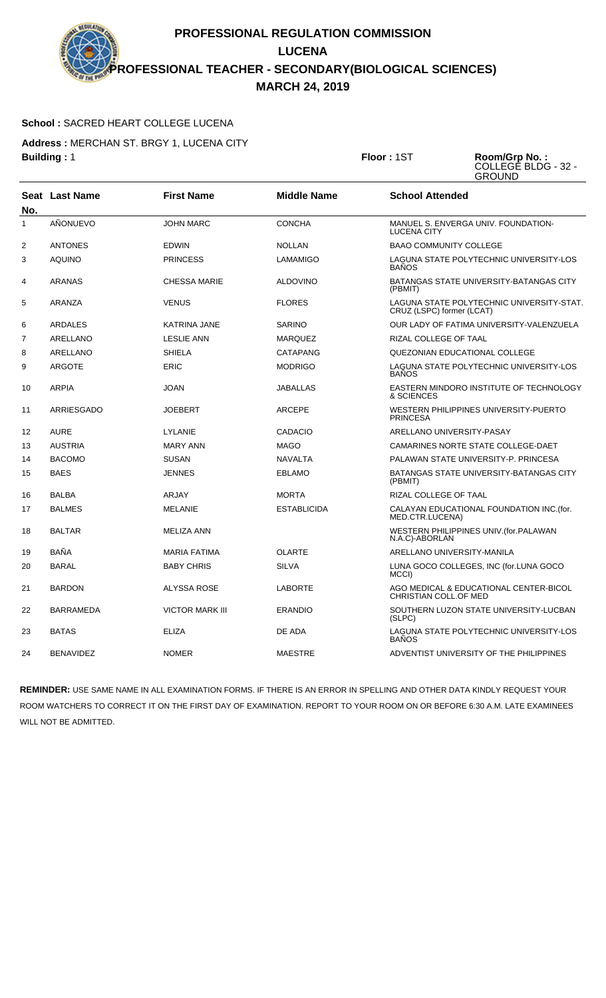# **School :** SACRED HEART COLLEGE LUCENA

**Address :** MERCHAN ST. BRGY 1, LUCENA CITY **Building :** 1 **Floor :** 1ST **Room/Grp No. :**

COLLEGE BLDG - 32 - GROUND

| No.            | Seat Last Name    | <b>First Name</b>      | <b>Middle Name</b> | <b>School Attended</b>                                                 |
|----------------|-------------------|------------------------|--------------------|------------------------------------------------------------------------|
| 1              | AÑONUEVO          | <b>JOHN MARC</b>       | <b>CONCHA</b>      | MANUEL S. ENVERGA UNIV. FOUNDATION-<br><b>LUCENA CITY</b>              |
| 2              | <b>ANTONES</b>    | <b>EDWIN</b>           | <b>NOLLAN</b>      | <b>BAAO COMMUNITY COLLEGE</b>                                          |
| 3              | <b>AQUINO</b>     | <b>PRINCESS</b>        | LAMAMIGO           | LAGUNA STATE POLYTECHNIC UNIVERSITY-LOS<br><b>BAÑOS</b>                |
| $\overline{4}$ | <b>ARANAS</b>     | <b>CHESSA MARIE</b>    | <b>ALDOVINO</b>    | BATANGAS STATE UNIVERSITY-BATANGAS CITY<br>(PBMIT)                     |
| 5              | ARANZA            | <b>VENUS</b>           | <b>FLORES</b>      | LAGUNA STATE POLYTECHNIC UNIVERSITY-STAT.<br>CRUZ (LSPC) former (LCAT) |
| 6              | <b>ARDALES</b>    | KATRINA JANE           | <b>SARINO</b>      | OUR LADY OF FATIMA UNIVERSITY-VALENZUELA                               |
| $\overline{7}$ | <b>ARELLANO</b>   | <b>LESLIE ANN</b>      | <b>MARQUEZ</b>     | RIZAL COLLEGE OF TAAL                                                  |
| 8              | <b>ARELLANO</b>   | <b>SHIELA</b>          | <b>CATAPANG</b>    | QUEZONIAN EDUCATIONAL COLLEGE                                          |
| 9              | <b>ARGOTE</b>     | <b>ERIC</b>            | <b>MODRIGO</b>     | LAGUNA STATE POLYTECHNIC UNIVERSITY-LOS<br><b>BAÑOS</b>                |
| 10             | <b>ARPIA</b>      | <b>JOAN</b>            | <b>JABALLAS</b>    | EASTERN MINDORO INSTITUTE OF TECHNOLOGY<br>& SCIENCES                  |
| 11             | <b>ARRIESGADO</b> | JOEBERT                | <b>ARCEPE</b>      | WESTERN PHILIPPINES UNIVERSITY-PUERTO<br><b>PRINCESA</b>               |
| 12             | <b>AURE</b>       | <b>LYLANIE</b>         | <b>CADACIO</b>     | ARELLANO UNIVERSITY-PASAY                                              |
| 13             | <b>AUSTRIA</b>    | <b>MARY ANN</b>        | <b>MAGO</b>        | CAMARINES NORTE STATE COLLEGE-DAET                                     |
| 14             | <b>BACOMO</b>     | <b>SUSAN</b>           | <b>NAVALTA</b>     | PALAWAN STATE UNIVERSITY-P. PRINCESA                                   |
| 15             | <b>BAES</b>       | <b>JENNES</b>          | <b>EBLAMO</b>      | BATANGAS STATE UNIVERSITY-BATANGAS CITY<br>(PBMIT)                     |
| 16             | <b>BALBA</b>      | ARJAY                  | <b>MORTA</b>       | <b>RIZAL COLLEGE OF TAAL</b>                                           |
| 17             | <b>BALMES</b>     | <b>MELANIE</b>         | <b>ESTABLICIDA</b> | CALAYAN EDUCATIONAL FOUNDATION INC. (for.<br>MED.CTR.LUCENA)           |
| 18             | <b>BALTAR</b>     | MELIZA ANN             |                    | WESTERN PHILIPPINES UNIV.(for.PALAWAN<br>N.A.C)-ABORLAN                |
| 19             | BAÑA              | <b>MARIA FATIMA</b>    | <b>OLARTE</b>      | ARELLANO UNIVERSITY-MANILA                                             |
| 20             | <b>BARAL</b>      | <b>BABY CHRIS</b>      | <b>SILVA</b>       | LUNA GOCO COLLEGES, INC (for.LUNA GOCO<br>MCCI)                        |
| 21             | <b>BARDON</b>     | <b>ALYSSA ROSE</b>     | <b>LABORTE</b>     | AGO MEDICAL & EDUCATIONAL CENTER-BICOL<br><b>CHRISTIAN COLL.OF MED</b> |
| 22             | <b>BARRAMEDA</b>  | <b>VICTOR MARK III</b> | <b>ERANDIO</b>     | SOUTHERN LUZON STATE UNIVERSITY-LUCBAN<br>(SLPC)                       |
| 23             | <b>BATAS</b>      | <b>ELIZA</b>           | DE ADA             | LAGUNA STATE POLYTECHNIC UNIVERSITY-LOS<br><b>BAÑOS</b>                |
| 24             | <b>BENAVIDEZ</b>  | <b>NOMER</b>           | <b>MAESTRE</b>     | ADVENTIST UNIVERSITY OF THE PHILIPPINES                                |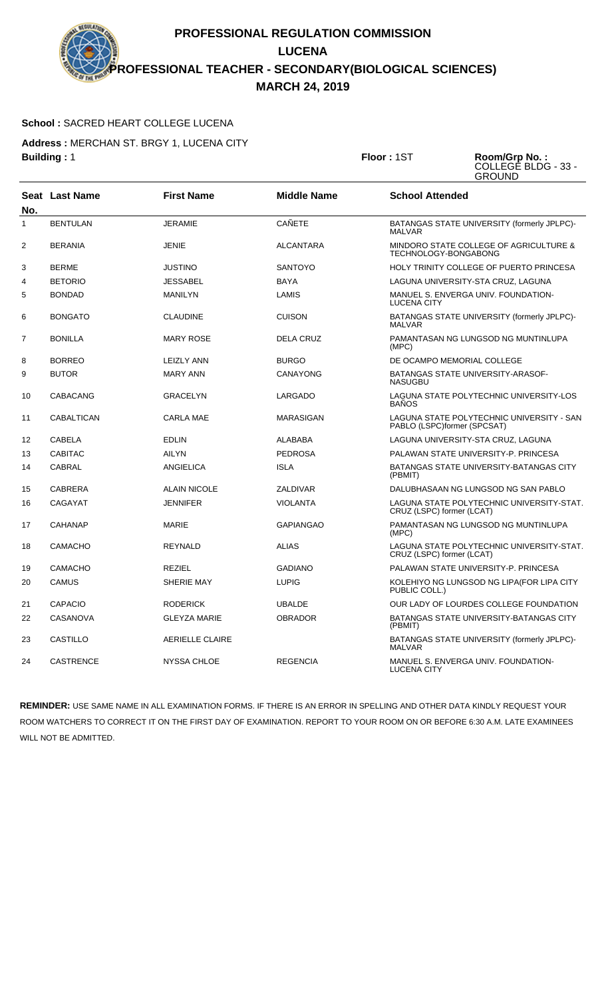# **School :** SACRED HEART COLLEGE LUCENA

**Address :** MERCHAN ST. BRGY 1, LUCENA CITY **Building :** 1 **Floor :** 1ST **Room/Grp No. :**

| $\mathsf{loor} : \mathsf{1ST}$ |  |
|--------------------------------|--|
|--------------------------------|--|

COLLEGE BLDG - 33 - GROUND

| No.            | Seat Last Name    | <b>First Name</b>      | <b>Middle Name</b> | <b>School Attended</b>                                                   |
|----------------|-------------------|------------------------|--------------------|--------------------------------------------------------------------------|
| 1              | <b>BENTULAN</b>   | <b>JERAMIE</b>         | <b>CAÑETE</b>      | BATANGAS STATE UNIVERSITY (formerly JPLPC)-<br><b>MALVAR</b>             |
| $\overline{2}$ | <b>BERANIA</b>    | <b>JENIE</b>           | <b>ALCANTARA</b>   | MINDORO STATE COLLEGE OF AGRICULTURE &<br>TECHNOLOGY-BONGABONG           |
| 3              | <b>BERME</b>      | <b>JUSTINO</b>         | <b>SANTOYO</b>     | HOLY TRINITY COLLEGE OF PUERTO PRINCESA                                  |
| 4              | <b>BETORIO</b>    | <b>JESSABEL</b>        | <b>BAYA</b>        | LAGUNA UNIVERSITY-STA CRUZ, LAGUNA                                       |
| 5              | <b>BONDAD</b>     | <b>MANILYN</b>         | LAMIS              | MANUEL S. ENVERGA UNIV. FOUNDATION-<br><b>LUCENA CITY</b>                |
| 6              | <b>BONGATO</b>    | <b>CLAUDINE</b>        | <b>CUISON</b>      | BATANGAS STATE UNIVERSITY (formerly JPLPC)-<br><b>MALVAR</b>             |
| $\overline{7}$ | <b>BONILLA</b>    | <b>MARY ROSE</b>       | <b>DELA CRUZ</b>   | PAMANTASAN NG LUNGSOD NG MUNTINLUPA<br>(MPC)                             |
| 8              | <b>BORREO</b>     | <b>LEIZLY ANN</b>      | <b>BURGO</b>       | DE OCAMPO MEMORIAL COLLEGE                                               |
| 9              | <b>BUTOR</b>      | <b>MARY ANN</b>        | CANAYONG           | BATANGAS STATE UNIVERSITY-ARASOF-<br><b>NASUGBU</b>                      |
| 10             | CABACANG          | <b>GRACELYN</b>        | LARGADO            | LAGUNA STATE POLYTECHNIC UNIVERSITY-LOS<br><b>BANOS</b>                  |
| 11             | <b>CABALTICAN</b> | <b>CARLA MAE</b>       | <b>MARASIGAN</b>   | LAGUNA STATE POLYTECHNIC UNIVERSITY - SAN<br>PABLO (LSPC)former (SPCSAT) |
| 12             | <b>CABELA</b>     | <b>EDLIN</b>           | ALABABA            | LAGUNA UNIVERSITY-STA CRUZ, LAGUNA                                       |
| 13             | <b>CABITAC</b>    | <b>AILYN</b>           | <b>PEDROSA</b>     | PALAWAN STATE UNIVERSITY-P. PRINCESA                                     |
| 14             | <b>CABRAL</b>     | <b>ANGIELICA</b>       | <b>ISLA</b>        | <b>BATANGAS STATE UNIVERSITY-BATANGAS CITY</b><br>(PBMIT)                |
| 15             | <b>CABRERA</b>    | <b>ALAIN NICOLE</b>    | ZALDIVAR           | DALUBHASAAN NG LUNGSOD NG SAN PABLO                                      |
| 16             | <b>CAGAYAT</b>    | <b>JENNIFER</b>        | <b>VIOLANTA</b>    | LAGUNA STATE POLYTECHNIC UNIVERSITY-STAT.<br>CRUZ (LSPC) former (LCAT)   |
| 17             | <b>CAHANAP</b>    | <b>MARIE</b>           | <b>GAPIANGAO</b>   | PAMANTASAN NG LUNGSOD NG MUNTINLUPA<br>(MPC)                             |
| 18             | <b>CAMACHO</b>    | <b>REYNALD</b>         | <b>ALIAS</b>       | LAGUNA STATE POLYTECHNIC UNIVERSITY-STAT.<br>CRUZ (LSPC) former (LCAT)   |
| 19             | <b>CAMACHO</b>    | <b>REZIEL</b>          | <b>GADIANO</b>     | PALAWAN STATE UNIVERSITY-P. PRINCESA                                     |
| 20             | <b>CAMUS</b>      | SHERIE MAY             | <b>LUPIG</b>       | KOLEHIYO NG LUNGSOD NG LIPA(FOR LIPA CITY<br>PUBLIC COLL.)               |
| 21             | <b>CAPACIO</b>    | <b>RODERICK</b>        | <b>UBALDE</b>      | OUR LADY OF LOURDES COLLEGE FOUNDATION                                   |
| 22             | CASANOVA          | <b>GLEYZA MARIE</b>    | <b>OBRADOR</b>     | BATANGAS STATE UNIVERSITY-BATANGAS CITY<br>(PBMIT)                       |
| 23             | <b>CASTILLO</b>   | <b>AERIELLE CLAIRE</b> |                    | BATANGAS STATE UNIVERSITY (formerly JPLPC)-<br><b>MALVAR</b>             |
| 24             | <b>CASTRENCE</b>  | <b>NYSSA CHLOE</b>     | <b>REGENCIA</b>    | MANUEL S. ENVERGA UNIV. FOUNDATION-<br><b>LUCENA CITY</b>                |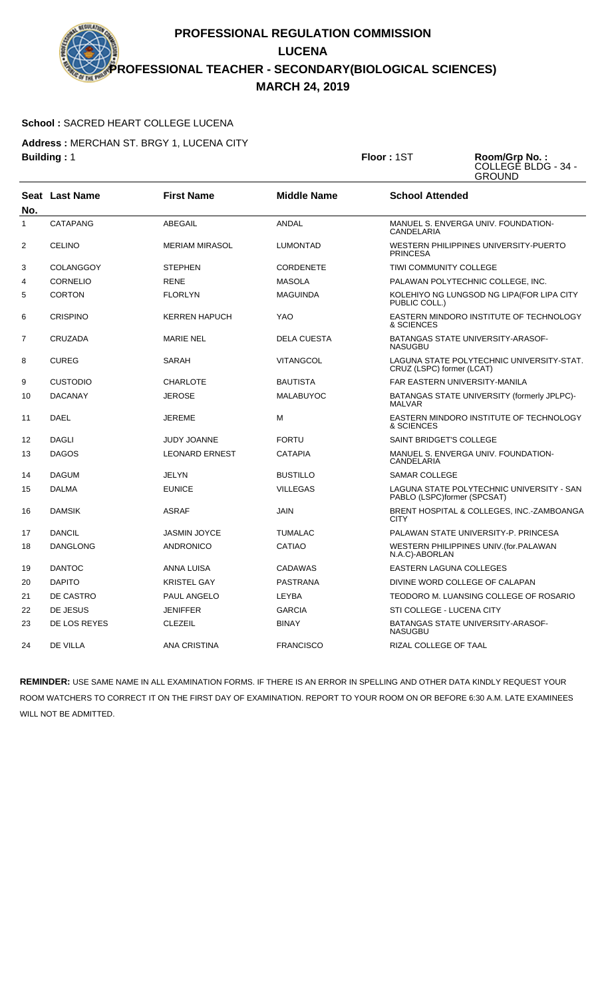## **School :** SACRED HEART COLLEGE LUCENA

**Address :** MERCHAN ST. BRGY 1, LUCENA CITY **Building : 1 Floor : 1ST <b>Floor** : 1ST **ROOM** 

| SТ | Room/Grp No.:<br>COLLEGE BLDG - 34 - |
|----|--------------------------------------|
|    | <b>GROUND</b>                        |

|                |                       |                       |                    | שמוטאס                                                                   |
|----------------|-----------------------|-----------------------|--------------------|--------------------------------------------------------------------------|
| No.            | <b>Seat Last Name</b> | <b>First Name</b>     | <b>Middle Name</b> | <b>School Attended</b>                                                   |
| 1              | <b>CATAPANG</b>       | <b>ABEGAIL</b>        | <b>ANDAL</b>       | MANUEL S. ENVERGA UNIV. FOUNDATION-<br>CANDELARIA                        |
| $\overline{2}$ | CELINO                | <b>MERIAM MIRASOL</b> | <b>LUMONTAD</b>    | WESTERN PHILIPPINES UNIVERSITY-PUERTO<br><b>PRINCESA</b>                 |
| 3              | COLANGGOY             | <b>STEPHEN</b>        | <b>CORDENETE</b>   | TIWI COMMUNITY COLLEGE                                                   |
| 4              | <b>CORNELIO</b>       | <b>RENE</b>           | <b>MASOLA</b>      | PALAWAN POLYTECHNIC COLLEGE, INC.                                        |
| 5              | <b>CORTON</b>         | <b>FLORLYN</b>        | <b>MAGUINDA</b>    | KOLEHIYO NG LUNGSOD NG LIPA(FOR LIPA CITY<br>PUBLIC COLL.)               |
| 6              | <b>CRISPINO</b>       | <b>KERREN HAPUCH</b>  | <b>YAO</b>         | EASTERN MINDORO INSTITUTE OF TECHNOLOGY<br>& SCIENCES                    |
| 7              | CRUZADA               | <b>MARIE NEL</b>      | <b>DELA CUESTA</b> | BATANGAS STATE UNIVERSITY-ARASOF-<br><b>NASUGBU</b>                      |
| 8              | <b>CUREG</b>          | <b>SARAH</b>          | <b>VITANGCOL</b>   | LAGUNA STATE POLYTECHNIC UNIVERSITY-STAT.<br>CRUZ (LSPC) former (LCAT)   |
| 9              | <b>CUSTODIO</b>       | <b>CHARLOTE</b>       | <b>BAUTISTA</b>    | FAR EASTERN UNIVERSITY-MANILA                                            |
| 10             | <b>DACANAY</b>        | <b>JEROSE</b>         | <b>MALABUYOC</b>   | BATANGAS STATE UNIVERSITY (formerly JPLPC)-<br><b>MALVAR</b>             |
| 11             | <b>DAEL</b>           | <b>JEREME</b>         | м                  | EASTERN MINDORO INSTITUTE OF TECHNOLOGY<br>& SCIENCES                    |
| 12             | <b>DAGLI</b>          | <b>JUDY JOANNE</b>    | <b>FORTU</b>       | <b>SAINT BRIDGET'S COLLEGE</b>                                           |
| 13             | <b>DAGOS</b>          | <b>LEONARD ERNEST</b> | <b>CATAPIA</b>     | MANUEL S. ENVERGA UNIV. FOUNDATION-<br><b>CANDELARIA</b>                 |
| 14             | <b>DAGUM</b>          | <b>JELYN</b>          | <b>BUSTILLO</b>    | <b>SAMAR COLLEGE</b>                                                     |
| 15             | <b>DALMA</b>          | <b>EUNICE</b>         | <b>VILLEGAS</b>    | LAGUNA STATE POLYTECHNIC UNIVERSITY - SAN<br>PABLO (LSPC)former (SPCSAT) |
| 16             | <b>DAMSIK</b>         | <b>ASRAF</b>          | <b>JAIN</b>        | BRENT HOSPITAL & COLLEGES, INC.-ZAMBOANGA<br><b>CITY</b>                 |
| 17             | <b>DANCIL</b>         | <b>JASMIN JOYCE</b>   | <b>TUMALAC</b>     | PALAWAN STATE UNIVERSITY-P. PRINCESA                                     |
| 18             | <b>DANGLONG</b>       | ANDRONICO             | CATIAO             | WESTERN PHILIPPINES UNIV.(for.PALAWAN<br>N.A.C)-ABORLAN                  |
| 19             | <b>DANTOC</b>         | ANNA LUISA            | <b>CADAWAS</b>     | <b>EASTERN LAGUNA COLLEGES</b>                                           |
| 20             | <b>DAPITO</b>         | <b>KRISTEL GAY</b>    | <b>PASTRANA</b>    | DIVINE WORD COLLEGE OF CALAPAN                                           |
| 21             | <b>DE CASTRO</b>      | <b>PAUL ANGELO</b>    | LEYBA              | TEODORO M. LUANSING COLLEGE OF ROSARIO                                   |
| 22             | DE JESUS              | <b>JENIFFER</b>       | <b>GARCIA</b>      | STI COLLEGE - LUCENA CITY                                                |
| 23             | DE LOS REYES          | <b>CLEZEIL</b>        | <b>BINAY</b>       | BATANGAS STATE UNIVERSITY-ARASOF-<br><b>NASUGBU</b>                      |
| 24             | DE VILLA              | <b>ANA CRISTINA</b>   | <b>FRANCISCO</b>   | RIZAL COLLEGE OF TAAL                                                    |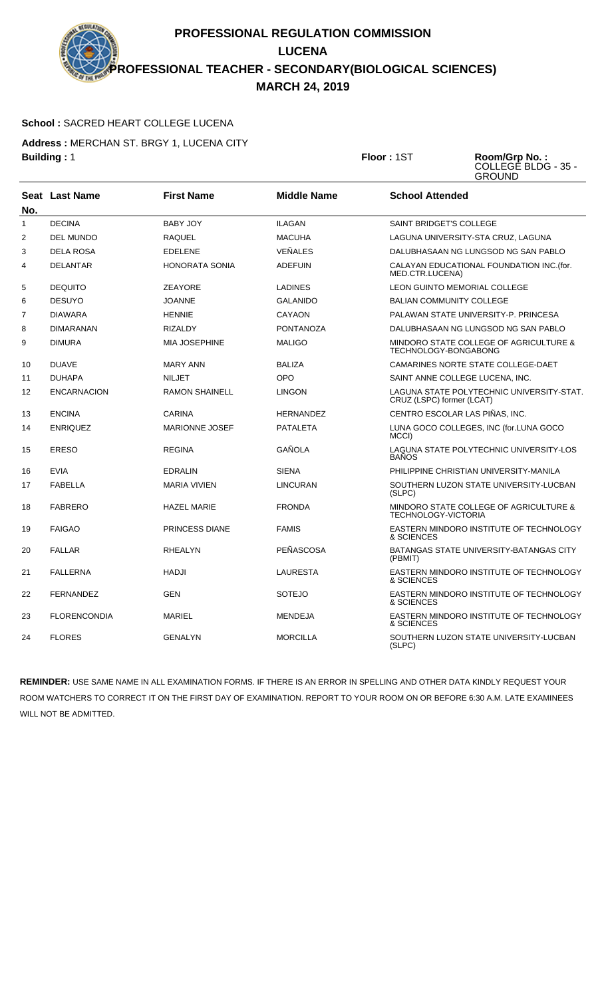# **School :** SACRED HEART COLLEGE LUCENA

**Address :** MERCHAN ST. BRGY 1, LUCENA CITY **Building :** 1 **Floor :** 1ST **Room/Grp No. :**

COLLEGE BLDG - 35 - GROUND

|                | <b>Seat Last Name</b> | <b>First Name</b>     | <b>Middle Name</b> | <b>School Attended</b>                                                 |
|----------------|-----------------------|-----------------------|--------------------|------------------------------------------------------------------------|
| No.            |                       |                       |                    |                                                                        |
| $\mathbf{1}$   | <b>DECINA</b>         | <b>BABY JOY</b>       | <b>ILAGAN</b>      | <b>SAINT BRIDGET'S COLLEGE</b>                                         |
| $\overline{2}$ | <b>DEL MUNDO</b>      | <b>RAQUEL</b>         | <b>MACUHA</b>      | LAGUNA UNIVERSITY-STA CRUZ, LAGUNA                                     |
| 3              | <b>DELA ROSA</b>      | <b>EDELENE</b>        | VEÑALES            | DALUBHASAAN NG LUNGSOD NG SAN PABLO                                    |
| 4              | <b>DELANTAR</b>       | <b>HONORATA SONIA</b> | <b>ADEFUIN</b>     | CALAYAN EDUCATIONAL FOUNDATION INC. (for.<br>MED.CTR.LUCENA)           |
| 5              | <b>DEQUITO</b>        | <b>ZEAYORE</b>        | <b>LADINES</b>     | LEON GUINTO MEMORIAL COLLEGE                                           |
| 6              | <b>DESUYO</b>         | <b>JOANNE</b>         | <b>GALANIDO</b>    | <b>BALIAN COMMUNITY COLLEGE</b>                                        |
| $\overline{7}$ | <b>DIAWARA</b>        | <b>HENNIE</b>         | <b>CAYAON</b>      | PALAWAN STATE UNIVERSITY-P. PRINCESA                                   |
| 8              | <b>DIMARANAN</b>      | <b>RIZALDY</b>        | <b>PONTANOZA</b>   | DALUBHASAAN NG LUNGSOD NG SAN PABLO                                    |
| 9              | <b>DIMURA</b>         | <b>MIA JOSEPHINE</b>  | <b>MALIGO</b>      | MINDORO STATE COLLEGE OF AGRICULTURE &<br>TECHNOLOGY-BONGABONG         |
| 10             | <b>DUAVE</b>          | <b>MARY ANN</b>       | <b>BALIZA</b>      | CAMARINES NORTE STATE COLLEGE-DAET                                     |
| 11             | <b>DUHAPA</b>         | <b>NILJET</b>         | <b>OPO</b>         | SAINT ANNE COLLEGE LUCENA, INC.                                        |
| 12             | <b>ENCARNACION</b>    | <b>RAMON SHAINELL</b> | <b>LINGON</b>      | LAGUNA STATE POLYTECHNIC UNIVERSITY-STAT.<br>CRUZ (LSPC) former (LCAT) |
| 13             | <b>ENCINA</b>         | CARINA                | <b>HERNANDEZ</b>   | CENTRO ESCOLAR LAS PIÑAS. INC.                                         |
| 14             | <b>ENRIQUEZ</b>       | <b>MARIONNE JOSEF</b> | <b>PATALETA</b>    | LUNA GOCO COLLEGES, INC (for.LUNA GOCO<br>MCCI)                        |
| 15             | <b>ERESO</b>          | <b>REGINA</b>         | GAÑOLA             | LAGUNA STATE POLYTECHNIC UNIVERSITY-LOS<br><b>BAÑOS</b>                |
| 16             | <b>EVIA</b>           | <b>EDRALIN</b>        | <b>SIENA</b>       | PHILIPPINE CHRISTIAN UNIVERSITY-MANILA                                 |
| 17             | <b>FABELLA</b>        | <b>MARIA VIVIEN</b>   | <b>LINCURAN</b>    | SOUTHERN LUZON STATE UNIVERSITY-LUCBAN<br>(SLPC)                       |
| 18             | <b>FABRERO</b>        | <b>HAZEL MARIE</b>    | <b>FRONDA</b>      | MINDORO STATE COLLEGE OF AGRICULTURE &<br><b>TECHNOLOGY-VICTORIA</b>   |
| 19             | <b>FAIGAO</b>         | <b>PRINCESS DIANE</b> | <b>FAMIS</b>       | EASTERN MINDORO INSTITUTE OF TECHNOLOGY<br>& SCIENCES                  |
| 20             | <b>FALLAR</b>         | <b>RHEALYN</b>        | <b>PEÑASCOSA</b>   | <b>BATANGAS STATE UNIVERSITY-BATANGAS CITY</b><br>(PBMIT)              |
| 21             | <b>FALLERNA</b>       | <b>HADJI</b>          | LAURESTA           | EASTERN MINDORO INSTITUTE OF TECHNOLOGY<br>& SCIENCES                  |
| 22             | <b>FERNANDEZ</b>      | <b>GEN</b>            | <b>SOTEJO</b>      | EASTERN MINDORO INSTITUTE OF TECHNOLOGY<br>& SCIENCES                  |
| 23             | <b>FLORENCONDIA</b>   | <b>MARIEL</b>         | <b>MENDEJA</b>     | EASTERN MINDORO INSTITUTE OF TECHNOLOGY<br>& SCIENCES                  |
| 24             | <b>FLORES</b>         | <b>GENALYN</b>        | <b>MORCILLA</b>    | SOUTHERN LUZON STATE UNIVERSITY-LUCBAN<br>(SLPC)                       |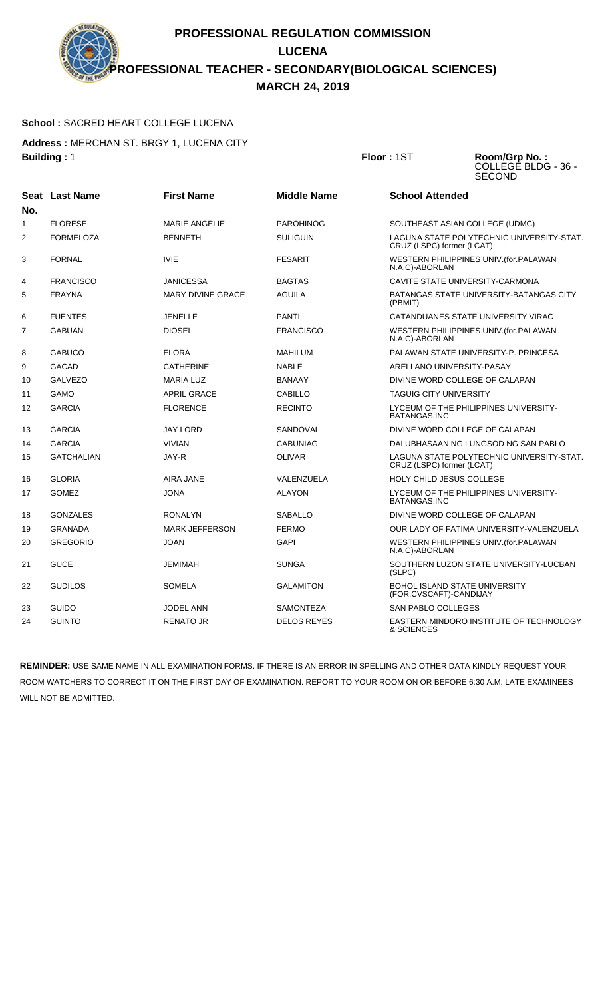## **School :** SACRED HEART COLLEGE LUCENA

**Address :** MERCHAN ST. BRGY 1, LUCENA CITY **Building :** 1 **Floor :** 1ST **Room/Grp No. :**

COLLEGE BLDG - 36 - SECOND

| No.            | Seat Last Name    | <b>First Name</b>        | <b>Middle Name</b> | <b>School Attended</b>                                                 |
|----------------|-------------------|--------------------------|--------------------|------------------------------------------------------------------------|
| $\mathbf{1}$   | <b>FLORESE</b>    | <b>MARIE ANGELIE</b>     | <b>PAROHINOG</b>   | SOUTHEAST ASIAN COLLEGE (UDMC)                                         |
| $\overline{2}$ | <b>FORMELOZA</b>  | <b>BENNETH</b>           | <b>SULIGUIN</b>    | LAGUNA STATE POLYTECHNIC UNIVERSITY-STAT.<br>CRUZ (LSPC) former (LCAT) |
| 3              | <b>FORNAL</b>     | <b>IVIE</b>              | <b>FESARIT</b>     | WESTERN PHILIPPINES UNIV.(for.PALAWAN<br>N.A.C)-ABORLAN                |
| $\overline{4}$ | <b>FRANCISCO</b>  | <b>JANICESSA</b>         | <b>BAGTAS</b>      | CAVITE STATE UNIVERSITY-CARMONA                                        |
| 5              | <b>FRAYNA</b>     | <b>MARY DIVINE GRACE</b> | <b>AGUILA</b>      | <b>BATANGAS STATE UNIVERSITY-BATANGAS CITY</b><br>(PBMIT)              |
| 6              | <b>FUENTES</b>    | <b>JENELLE</b>           | <b>PANTI</b>       | CATANDUANES STATE UNIVERSITY VIRAC                                     |
| $\overline{7}$ | <b>GABUAN</b>     | <b>DIOSEL</b>            | <b>FRANCISCO</b>   | WESTERN PHILIPPINES UNIV. (for. PALAWAN<br>N.A.C)-ABORLAN              |
| 8              | <b>GABUCO</b>     | <b>ELORA</b>             | <b>MAHILUM</b>     | PALAWAN STATE UNIVERSITY-P. PRINCESA                                   |
| 9              | <b>GACAD</b>      | <b>CATHERINE</b>         | <b>NABLE</b>       | ARELLANO UNIVERSITY-PASAY                                              |
| 10             | <b>GALVEZO</b>    | <b>MARIA LUZ</b>         | <b>BANAAY</b>      | DIVINE WORD COLLEGE OF CALAPAN                                         |
| 11             | <b>GAMO</b>       | <b>APRIL GRACE</b>       | <b>CABILLO</b>     | <b>TAGUIG CITY UNIVERSITY</b>                                          |
| 12             | <b>GARCIA</b>     | <b>FLORENCE</b>          | <b>RECINTO</b>     | LYCEUM OF THE PHILIPPINES UNIVERSITY-<br>BATANGAS, INC                 |
| 13             | <b>GARCIA</b>     | <b>JAY LORD</b>          | SANDOVAL           | DIVINE WORD COLLEGE OF CALAPAN                                         |
| 14             | <b>GARCIA</b>     | <b>VIVIAN</b>            | <b>CABUNIAG</b>    | DALUBHASAAN NG LUNGSOD NG SAN PABLO                                    |
| 15             | <b>GATCHALIAN</b> | JAY-R                    | <b>OLIVAR</b>      | LAGUNA STATE POLYTECHNIC UNIVERSITY-STAT.<br>CRUZ (LSPC) former (LCAT) |
| 16             | <b>GLORIA</b>     | <b>AIRA JANE</b>         | VALENZUELA         | <b>HOLY CHILD JESUS COLLEGE</b>                                        |
| 17             | <b>GOMEZ</b>      | <b>JONA</b>              | <b>ALAYON</b>      | LYCEUM OF THE PHILIPPINES UNIVERSITY-<br><b>BATANGAS.INC</b>           |
| 18             | <b>GONZALES</b>   | <b>RONALYN</b>           | <b>SABALLO</b>     | DIVINE WORD COLLEGE OF CALAPAN                                         |
| 19             | <b>GRANADA</b>    | <b>MARK JEFFERSON</b>    | <b>FERMO</b>       | OUR LADY OF FATIMA UNIVERSITY-VALENZUELA                               |
| 20             | <b>GREGORIO</b>   | <b>JOAN</b>              | <b>GAPI</b>        | WESTERN PHILIPPINES UNIV.(for.PALAWAN<br>N.A.C)-ABORLAN                |
| 21             | <b>GUCE</b>       | <b>JEMIMAH</b>           | <b>SUNGA</b>       | SOUTHERN LUZON STATE UNIVERSITY-LUCBAN<br>(SLPC)                       |
| 22             | <b>GUDILOS</b>    | <b>SOMELA</b>            | <b>GALAMITON</b>   | <b>BOHOL ISLAND STATE UNIVERSITY</b><br>(FOR.CVSCAFT)-CANDIJAY         |
| 23             | GUIDO             | <b>JODEL ANN</b>         | <b>SAMONTEZA</b>   | SAN PABLO COLLEGES                                                     |
| 24             | <b>GUINTO</b>     | <b>RENATO JR</b>         | <b>DELOS REYES</b> | EASTERN MINDORO INSTITUTE OF TECHNOLOGY<br>& SCIENCES                  |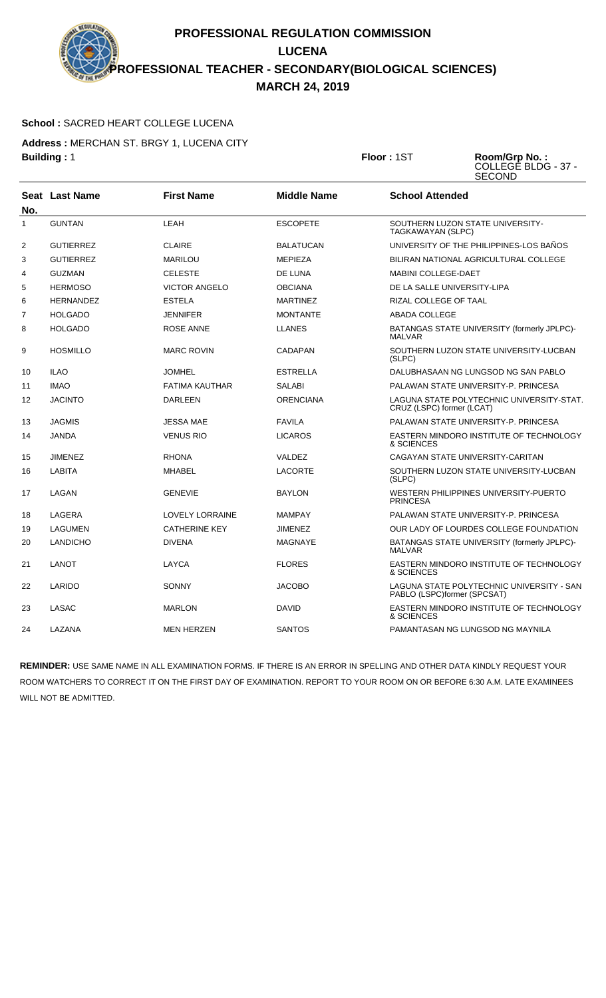# **School :** SACRED HEART COLLEGE LUCENA

**Address :** MERCHAN ST. BRGY 1, LUCENA CITY **Building :** 1 **Floor :** 1ST **Room/Grp No. :**

COLLEGE BLDG - 37 - SECOND

|                | Seat Last Name   | <b>First Name</b>      | <b>Middle Name</b> | <b>School Attended</b>                                                   |
|----------------|------------------|------------------------|--------------------|--------------------------------------------------------------------------|
| No.            |                  |                        |                    |                                                                          |
| 1              | <b>GUNTAN</b>    | LEAH                   | <b>ESCOPETE</b>    | SOUTHERN LUZON STATE UNIVERSITY-<br>TAGKAWAYAN (SLPC)                    |
| 2              | <b>GUTIERREZ</b> | <b>CLAIRE</b>          | <b>BALATUCAN</b>   | UNIVERSITY OF THE PHILIPPINES-LOS BAÑOS                                  |
| 3              | <b>GUTIERREZ</b> | <b>MARILOU</b>         | <b>MEPIEZA</b>     | BILIRAN NATIONAL AGRICULTURAL COLLEGE                                    |
| 4              | <b>GUZMAN</b>    | <b>CELESTE</b>         | DE LUNA            | <b>MABINI COLLEGE-DAET</b>                                               |
| 5              | <b>HERMOSO</b>   | <b>VICTOR ANGELO</b>   | <b>OBCIANA</b>     | DE LA SALLE UNIVERSITY-LIPA                                              |
| 6              | <b>HERNANDEZ</b> | <b>ESTELA</b>          | <b>MARTINEZ</b>    | RIZAL COLLEGE OF TAAL                                                    |
| $\overline{7}$ | <b>HOLGADO</b>   | <b>JENNIFER</b>        | <b>MONTANTE</b>    | ABADA COLLEGE                                                            |
| 8              | <b>HOLGADO</b>   | <b>ROSE ANNE</b>       | <b>LLANES</b>      | BATANGAS STATE UNIVERSITY (formerly JPLPC)-<br><b>MALVAR</b>             |
| 9              | <b>HOSMILLO</b>  | <b>MARC ROVIN</b>      | <b>CADAPAN</b>     | SOUTHERN LUZON STATE UNIVERSITY-LUCBAN<br>(SLPC)                         |
| 10             | <b>ILAO</b>      | JOMHEL                 | <b>ESTRELLA</b>    | DALUBHASAAN NG LUNGSOD NG SAN PABLO                                      |
| 11             | <b>IMAO</b>      | <b>FATIMA KAUTHAR</b>  | <b>SALABI</b>      | PALAWAN STATE UNIVERSITY-P. PRINCESA                                     |
| 12             | <b>JACINTO</b>   | <b>DARLEEN</b>         | <b>ORENCIANA</b>   | LAGUNA STATE POLYTECHNIC UNIVERSITY-STAT.<br>CRUZ (LSPC) former (LCAT)   |
| 13             | <b>JAGMIS</b>    | <b>JESSA MAE</b>       | <b>FAVILA</b>      | PALAWAN STATE UNIVERSITY-P. PRINCESA                                     |
| 14             | <b>JANDA</b>     | <b>VENUS RIO</b>       | <b>LICAROS</b>     | EASTERN MINDORO INSTITUTE OF TECHNOLOGY<br>& SCIENCES                    |
| 15             | <b>JIMENEZ</b>   | <b>RHONA</b>           | VALDEZ             | CAGAYAN STATE UNIVERSITY-CARITAN                                         |
| 16             | <b>LABITA</b>    | <b>MHABEL</b>          | <b>LACORTE</b>     | SOUTHERN LUZON STATE UNIVERSITY-LUCBAN<br>(SLPC)                         |
| 17             | LAGAN            | <b>GENEVIE</b>         | <b>BAYLON</b>      | WESTERN PHILIPPINES UNIVERSITY-PUERTO<br><b>PRINCESA</b>                 |
| 18             | LAGERA           | <b>LOVELY LORRAINE</b> | <b>MAMPAY</b>      | PALAWAN STATE UNIVERSITY-P. PRINCESA                                     |
| 19             | <b>LAGUMEN</b>   | <b>CATHERINE KEY</b>   | <b>JIMENEZ</b>     | OUR LADY OF LOURDES COLLEGE FOUNDATION                                   |
| 20             | <b>LANDICHO</b>  | <b>DIVENA</b>          | <b>MAGNAYE</b>     | BATANGAS STATE UNIVERSITY (formerly JPLPC)-<br><b>MALVAR</b>             |
| 21             | <b>LANOT</b>     | LAYCA                  | <b>FLORES</b>      | EASTERN MINDORO INSTITUTE OF TECHNOLOGY<br>& SCIENCES                    |
| 22             | LARIDO           | <b>SONNY</b>           | <b>JACOBO</b>      | LAGUNA STATE POLYTECHNIC UNIVERSITY - SAN<br>PABLO (LSPC)former (SPCSAT) |
| 23             | LASAC            | <b>MARLON</b>          | <b>DAVID</b>       | EASTERN MINDORO INSTITUTE OF TECHNOLOGY<br>& SCIENCES                    |
| 24             | LAZANA           | <b>MEN HERZEN</b>      | <b>SANTOS</b>      | PAMANTASAN NG LUNGSOD NG MAYNILA                                         |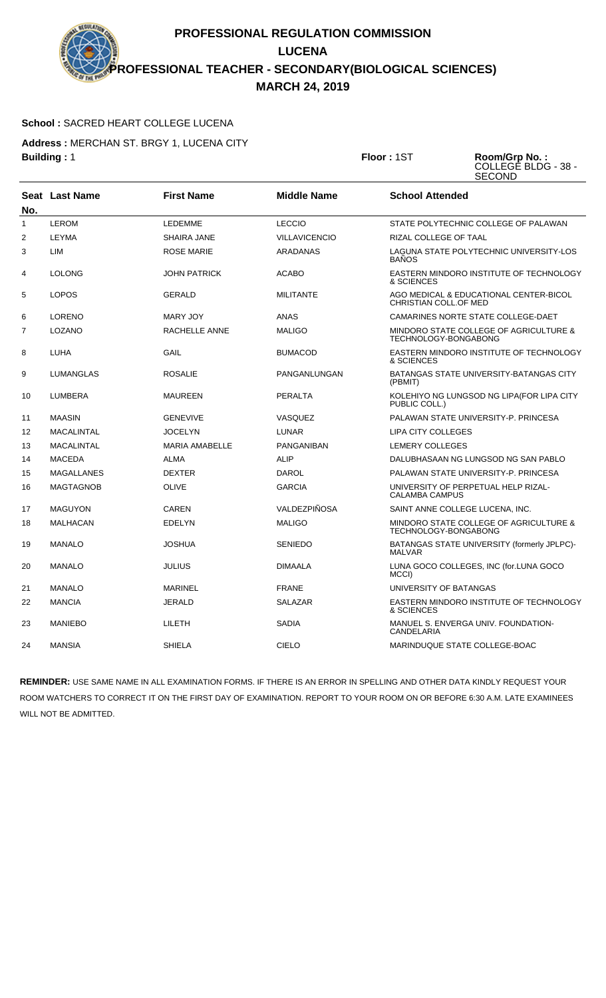## **School :** SACRED HEART COLLEGE LUCENA

**Address :** MERCHAN ST. BRGY 1, LUCENA CITY **Building :** 1 **Floor :** 1ST **Room/Grp No. :**

COLLEGE BLDG - 38 - SECOND

| No.            | Seat Last Name    | <b>First Name</b>     | <b>Middle Name</b>   | <b>School Attended</b>                                                 |
|----------------|-------------------|-----------------------|----------------------|------------------------------------------------------------------------|
| 1              | <b>LEROM</b>      | <b>LEDEMME</b>        | <b>LECCIO</b>        | STATE POLYTECHNIC COLLEGE OF PALAWAN                                   |
| $\overline{2}$ | LEYMA             | <b>SHAIRA JANE</b>    | <b>VILLAVICENCIO</b> | <b>RIZAL COLLEGE OF TAAL</b>                                           |
| 3              | LIM               | <b>ROSE MARIE</b>     | ARADANAS             | LAGUNA STATE POLYTECHNIC UNIVERSITY-LOS<br><b>BANOS</b>                |
| 4              | <b>LOLONG</b>     | <b>JOHN PATRICK</b>   | <b>ACABO</b>         | EASTERN MINDORO INSTITUTE OF TECHNOLOGY<br>& SCIENCES                  |
| 5              | <b>LOPOS</b>      | <b>GERALD</b>         | <b>MILITANTE</b>     | AGO MEDICAL & EDUCATIONAL CENTER-BICOL<br><b>CHRISTIAN COLL.OF MED</b> |
| 6              | <b>LORENO</b>     | <b>MARY JOY</b>       | <b>ANAS</b>          | CAMARINES NORTE STATE COLLEGE-DAET                                     |
| $\overline{7}$ | LOZANO            | RACHELLE ANNE         | <b>MALIGO</b>        | MINDORO STATE COLLEGE OF AGRICULTURE &<br>TECHNOLOGY-BONGABONG         |
| 8              | LUHA              | GAIL                  | <b>BUMACOD</b>       | EASTERN MINDORO INSTITUTE OF TECHNOLOGY<br>& SCIENCES                  |
| 9              | <b>LUMANGLAS</b>  | <b>ROSALIE</b>        | PANGANLUNGAN         | BATANGAS STATE UNIVERSITY-BATANGAS CITY<br>(PBMIT)                     |
| 10             | LUMBERA           | <b>MAUREEN</b>        | <b>PERALTA</b>       | KOLEHIYO NG LUNGSOD NG LIPA(FOR LIPA CITY<br>PUBLIC COLL.)             |
| 11             | <b>MAASIN</b>     | <b>GENEVIVE</b>       | VASQUEZ              | PALAWAN STATE UNIVERSITY-P. PRINCESA                                   |
| 12             | <b>MACALINTAL</b> | <b>JOCELYN</b>        | <b>LUNAR</b>         | <b>LIPA CITY COLLEGES</b>                                              |
| 13             | <b>MACALINTAL</b> | <b>MARIA AMABELLE</b> | <b>PANGANIBAN</b>    | LEMERY COLLEGES                                                        |
| 14             | <b>MACEDA</b>     | <b>ALMA</b>           | <b>ALIP</b>          | DALUBHASAAN NG LUNGSOD NG SAN PABLO                                    |
| 15             | <b>MAGALLANES</b> | <b>DEXTER</b>         | <b>DAROL</b>         | PALAWAN STATE UNIVERSITY-P. PRINCESA                                   |
| 16             | <b>MAGTAGNOB</b>  | <b>OLIVE</b>          | <b>GARCIA</b>        | UNIVERSITY OF PERPETUAL HELP RIZAL-<br><b>CALAMBA CAMPUS</b>           |
| 17             | <b>MAGUYON</b>    | <b>CAREN</b>          | VALDEZPIÑOSA         | SAINT ANNE COLLEGE LUCENA, INC.                                        |
| 18             | <b>MALHACAN</b>   | <b>EDELYN</b>         | <b>MALIGO</b>        | MINDORO STATE COLLEGE OF AGRICULTURE &<br>TECHNOLOGY-BONGABONG         |
| 19             | <b>MANALO</b>     | <b>JOSHUA</b>         | <b>SENIEDO</b>       | BATANGAS STATE UNIVERSITY (formerly JPLPC)-<br><b>MALVAR</b>           |
| 20             | <b>MANALO</b>     | <b>JULIUS</b>         | <b>DIMAALA</b>       | LUNA GOCO COLLEGES, INC (for.LUNA GOCO<br>MCCI)                        |
| 21             | <b>MANALO</b>     | <b>MARINEL</b>        | <b>FRANE</b>         | UNIVERSITY OF BATANGAS                                                 |
| 22             | <b>MANCIA</b>     | <b>JERALD</b>         | <b>SALAZAR</b>       | EASTERN MINDORO INSTITUTE OF TECHNOLOGY<br>& SCIENCES                  |
| 23             | <b>MANIEBO</b>    | LILETH                | <b>SADIA</b>         | MANUEL S. ENVERGA UNIV. FOUNDATION-<br>CANDELARIA                      |
| 24             | <b>MANSIA</b>     | <b>SHIELA</b>         | <b>CIELO</b>         | MARINDUQUE STATE COLLEGE-BOAC                                          |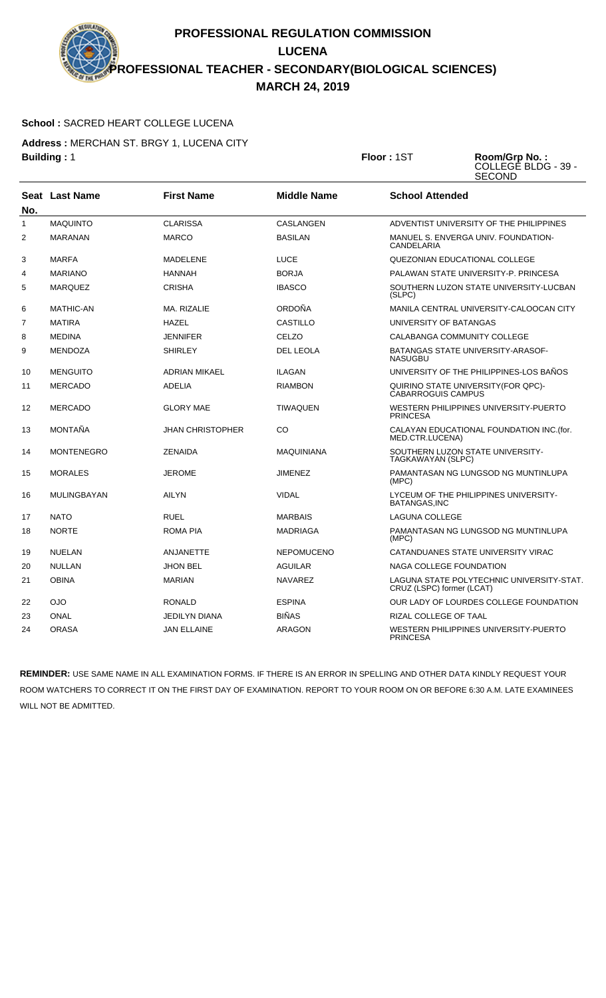# **School :** SACRED HEART COLLEGE LUCENA

**Address :** MERCHAN ST. BRGY 1, LUCENA CITY **Building :** 1 **Floor :** 1ST **Room/Grp No. :**

COLLEGE BLDG - 39 - SECOND

| No.            | <b>Seat Last Name</b> | <b>First Name</b>       | <b>Middle Name</b> | <b>School Attended</b>                                                 |
|----------------|-----------------------|-------------------------|--------------------|------------------------------------------------------------------------|
| $\mathbf{1}$   | <b>MAQUINTO</b>       | <b>CLARISSA</b>         | CASLANGEN          | ADVENTIST UNIVERSITY OF THE PHILIPPINES                                |
| $\overline{2}$ | <b>MARANAN</b>        | <b>MARCO</b>            | <b>BASILAN</b>     | MANUEL S. ENVERGA UNIV. FOUNDATION-<br><b>CANDELARIA</b>               |
| 3              | <b>MARFA</b>          | <b>MADELENE</b>         | <b>LUCE</b>        | QUEZONIAN EDUCATIONAL COLLEGE                                          |
| 4              | <b>MARIANO</b>        | <b>HANNAH</b>           | <b>BORJA</b>       | PALAWAN STATE UNIVERSITY-P. PRINCESA                                   |
| 5              | <b>MARQUEZ</b>        | <b>CRISHA</b>           | <b>IBASCO</b>      | SOUTHERN LUZON STATE UNIVERSITY-LUCBAN<br>(SLPC)                       |
| 6              | <b>MATHIC-AN</b>      | MA. RIZALIE             | ORDOÑA             | MANILA CENTRAL UNIVERSITY-CALOOCAN CITY                                |
| 7              | <b>MATIRA</b>         | <b>HAZEL</b>            | CASTILLO           | UNIVERSITY OF BATANGAS                                                 |
| 8              | <b>MEDINA</b>         | <b>JENNIFER</b>         | CELZO              | CALABANGA COMMUNITY COLLEGE                                            |
| 9              | <b>MENDOZA</b>        | <b>SHIRLEY</b>          | <b>DEL LEOLA</b>   | BATANGAS STATE UNIVERSITY-ARASOF-<br><b>NASUGBU</b>                    |
| 10             | <b>MENGUITO</b>       | <b>ADRIAN MIKAEL</b>    | <b>ILAGAN</b>      | UNIVERSITY OF THE PHILIPPINES-LOS BAÑOS                                |
| 11             | <b>MERCADO</b>        | <b>ADELIA</b>           | <b>RIAMBON</b>     | QUIRINO STATE UNIVERSITY(FOR QPC)-<br>CABARROGUIS CAMPUS               |
| 12             | <b>MERCADO</b>        | <b>GLORY MAE</b>        | <b>TIWAQUEN</b>    | WESTERN PHILIPPINES UNIVERSITY-PUERTO<br><b>PRINCESA</b>               |
| 13             | MONTAÑA               | <b>JHAN CHRISTOPHER</b> | CO                 | CALAYAN EDUCATIONAL FOUNDATION INC.(for.<br>MED.CTR.LUCENA)            |
| 14             | <b>MONTENEGRO</b>     | <b>ZENAIDA</b>          | <b>MAQUINIANA</b>  | SOUTHERN LUZON STATE UNIVERSITY-<br>TAGKAWAYAN (SLPC)                  |
| 15             | <b>MORALES</b>        | <b>JEROME</b>           | <b>JIMENEZ</b>     | PAMANTASAN NG LUNGSOD NG MUNTINLUPA<br>(MPC)                           |
| 16             | <b>MULINGBAYAN</b>    | <b>AILYN</b>            | <b>VIDAL</b>       | LYCEUM OF THE PHILIPPINES UNIVERSITY-<br>BATANGAS, INC                 |
| 17             | <b>NATO</b>           | <b>RUEL</b>             | <b>MARBAIS</b>     | <b>LAGUNA COLLEGE</b>                                                  |
| 18             | <b>NORTE</b>          | <b>ROMA PIA</b>         | <b>MADRIAGA</b>    | PAMANTASAN NG LUNGSOD NG MUNTINLUPA<br>(MPC)                           |
| 19             | NUELAN                | ANJANETTE               | <b>NEPOMUCENO</b>  | CATANDUANES STATE UNIVERSITY VIRAC                                     |
| 20             | <b>NULLAN</b>         | <b>JHON BEL</b>         | AGUILAR            | NAGA COLLEGE FOUNDATION                                                |
| 21             | <b>OBINA</b>          | <b>MARIAN</b>           | <b>NAVAREZ</b>     | LAGUNA STATE POLYTECHNIC UNIVERSITY-STAT.<br>CRUZ (LSPC) former (LCAT) |
| 22             | <b>OJO</b>            | <b>RONALD</b>           | <b>ESPINA</b>      | OUR LADY OF LOURDES COLLEGE FOUNDATION                                 |
| 23             | <b>ONAL</b>           | <b>JEDILYN DIANA</b>    | <b>BIÑAS</b>       | <b>RIZAL COLLEGE OF TAAL</b>                                           |
| 24             | <b>ORASA</b>          | <b>JAN ELLAINE</b>      | <b>ARAGON</b>      | WESTERN PHILIPPINES UNIVERSITY-PUERTO<br><b>PRINCESA</b>               |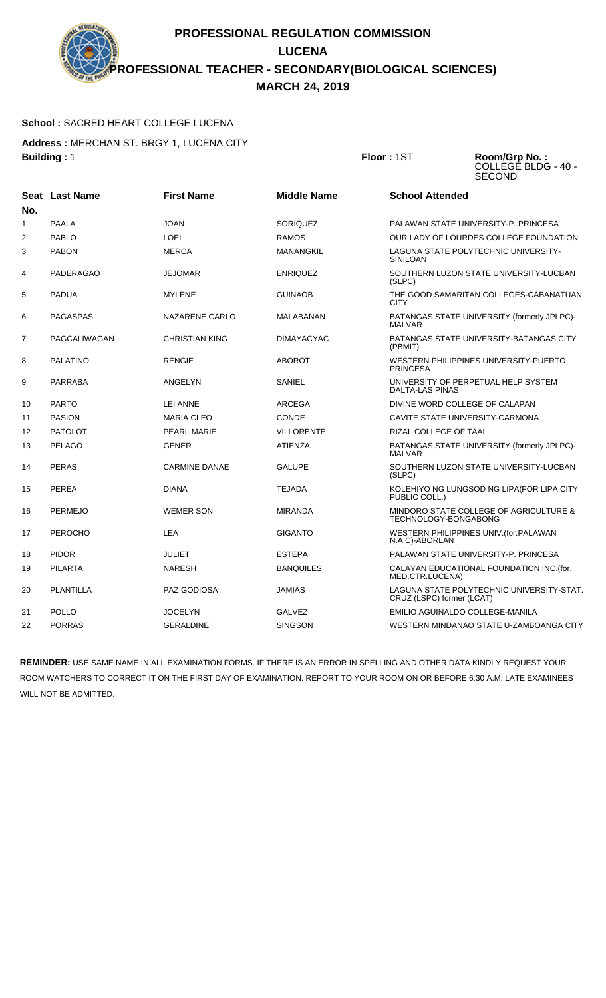# **School :** SACRED HEART COLLEGE LUCENA

**Address :** MERCHAN ST. BRGY 1, LUCENA CITY **Building :** 1 **Floor :** 1ST **Room/Grp No. :**

COLLEGE BLDG - 40 - SECOND

|                | Seat Last Name   | <b>First Name</b>     | <b>Middle Name</b> | <b>School Attended</b>                                                 |
|----------------|------------------|-----------------------|--------------------|------------------------------------------------------------------------|
| No.            |                  |                       |                    |                                                                        |
| $\mathbf{1}$   | <b>PAALA</b>     | <b>JOAN</b>           | <b>SORIQUEZ</b>    | PALAWAN STATE UNIVERSITY-P. PRINCESA                                   |
| $\overline{2}$ | PABLO            | <b>LOEL</b>           | <b>RAMOS</b>       | OUR LADY OF LOURDES COLLEGE FOUNDATION                                 |
| 3              | <b>PABON</b>     | <b>MERCA</b>          | MANANGKIL          | LAGUNA STATE POLYTECHNIC UNIVERSITY-<br><b>SINILOAN</b>                |
| 4              | PADERAGAO        | <b>JEJOMAR</b>        | <b>ENRIQUEZ</b>    | SOUTHERN LUZON STATE UNIVERSITY-LUCBAN<br>(SLPC)                       |
| 5              | <b>PADUA</b>     | <b>MYLENE</b>         | <b>GUINAOB</b>     | THE GOOD SAMARITAN COLLEGES-CABANATUAN<br><b>CITY</b>                  |
| 6              | <b>PAGASPAS</b>  | NAZARENE CARLO        | MALABANAN          | BATANGAS STATE UNIVERSITY (formerly JPLPC)-<br><b>MALVAR</b>           |
| 7              | PAGCALIWAGAN     | <b>CHRISTIAN KING</b> | <b>DIMAYACYAC</b>  | <b>BATANGAS STATE UNIVERSITY-BATANGAS CITY</b><br>(PBMIT)              |
| 8              | <b>PALATINO</b>  | <b>RENGIE</b>         | <b>ABOROT</b>      | WESTERN PHILIPPINES UNIVERSITY-PUERTO<br><b>PRINCESA</b>               |
| 9              | <b>PARRABA</b>   | ANGELYN               | SANIEL             | UNIVERSITY OF PERPETUAL HELP SYSTEM<br>DALTA-LAS PINAS                 |
| 10             | <b>PARTO</b>     | <b>LEI ANNE</b>       | <b>ARCEGA</b>      | DIVINE WORD COLLEGE OF CALAPAN                                         |
| 11             | <b>PASION</b>    | <b>MARIA CLEO</b>     | <b>CONDE</b>       | CAVITE STATE UNIVERSITY-CARMONA                                        |
| 12             | <b>PATOLOT</b>   | <b>PEARL MARIE</b>    | <b>VILLORENTE</b>  | <b>RIZAL COLLEGE OF TAAL</b>                                           |
| 13             | PELAGO           | <b>GENER</b>          | <b>ATIENZA</b>     | BATANGAS STATE UNIVERSITY (formerly JPLPC)-<br><b>MALVAR</b>           |
| 14             | <b>PERAS</b>     | <b>CARMINE DANAE</b>  | <b>GALUPE</b>      | SOUTHERN LUZON STATE UNIVERSITY-LUCBAN<br>(SLPC)                       |
| 15             | <b>PEREA</b>     | <b>DIANA</b>          | <b>TEJADA</b>      | KOLEHIYO NG LUNGSOD NG LIPA (FOR LIPA CITY<br>PUBLIC COLL.)            |
| 16             | <b>PERMEJO</b>   | <b>WEMER SON</b>      | <b>MIRANDA</b>     | MINDORO STATE COLLEGE OF AGRICULTURE &<br>TECHNOLOGY-BONGABONG         |
| 17             | <b>PEROCHO</b>   | <b>LEA</b>            | <b>GIGANTO</b>     | WESTERN PHILIPPINES UNIV.(for.PALAWAN<br>N.A.C)-ABORLAN                |
| 18             | <b>PIDOR</b>     | <b>JULIET</b>         | <b>ESTEPA</b>      | PALAWAN STATE UNIVERSITY-P. PRINCESA                                   |
| 19             | <b>PILARTA</b>   | <b>NARESH</b>         | <b>BANQUILES</b>   | CALAYAN EDUCATIONAL FOUNDATION INC. (for.<br>MED.CTR.LUCENA)           |
| 20             | <b>PLANTILLA</b> | <b>PAZ GODIOSA</b>    | JAMIAS             | LAGUNA STATE POLYTECHNIC UNIVERSITY-STAT.<br>CRUZ (LSPC) former (LCAT) |
| 21             | <b>POLLO</b>     | <b>JOCELYN</b>        | GALVEZ             | EMILIO AGUINALDO COLLEGE-MANILA                                        |
| 22             | <b>PORRAS</b>    | <b>GERALDINE</b>      | <b>SINGSON</b>     | WESTERN MINDANAO STATE U-ZAMBOANGA CITY                                |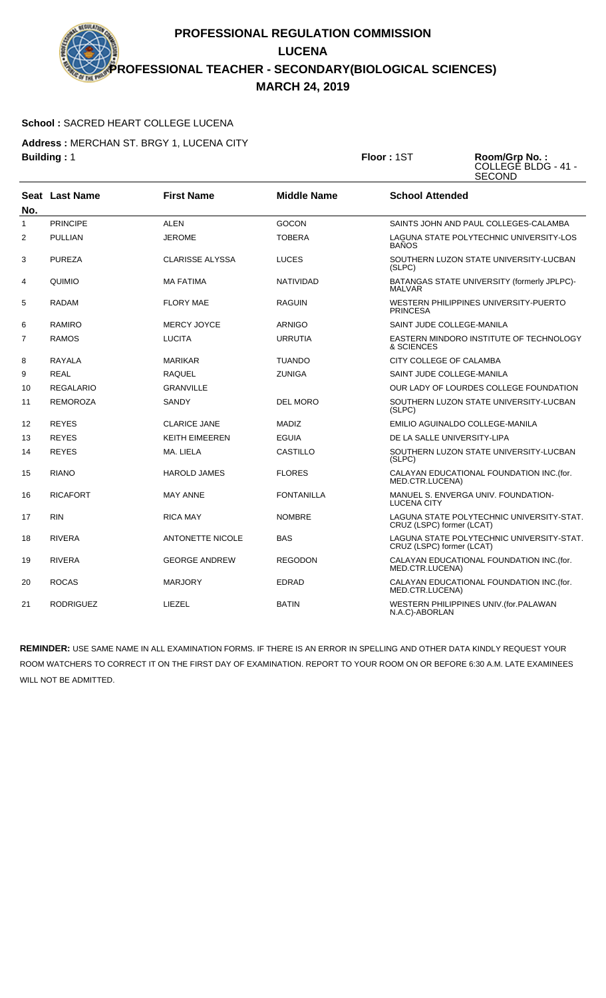# **School :** SACRED HEART COLLEGE LUCENA

**Address :** MERCHAN ST. BRGY 1, LUCENA CITY **Building :** 1 **Floor :** 1ST **Room/Grp No. :**

COLLEGE BLDG - 41 - SECOND

| No.          | <b>Seat Last Name</b> | <b>First Name</b>       | <b>Middle Name</b> | <b>School Attended</b>                                                 |
|--------------|-----------------------|-------------------------|--------------------|------------------------------------------------------------------------|
| $\mathbf{1}$ | <b>PRINCIPE</b>       | <b>ALEN</b>             | <b>GOCON</b>       | SAINTS JOHN AND PAUL COLLEGES-CALAMBA                                  |
| 2            | <b>PULLIAN</b>        | JEROME                  | <b>TOBERA</b>      | LAGUNA STATE POLYTECHNIC UNIVERSITY-LOS<br><b>BAÑOS</b>                |
| 3            | <b>PUREZA</b>         | <b>CLARISSE ALYSSA</b>  | <b>LUCES</b>       | SOUTHERN LUZON STATE UNIVERSITY-LUCBAN<br>(SLPC)                       |
| 4            | QUIMIO                | <b>MA FATIMA</b>        | <b>NATIVIDAD</b>   | BATANGAS STATE UNIVERSITY (formerly JPLPC)-<br><b>MALVAR</b>           |
| 5            | <b>RADAM</b>          | <b>FLORY MAE</b>        | <b>RAGUIN</b>      | WESTERN PHILIPPINES UNIVERSITY-PUERTO<br><b>PRINCESA</b>               |
| 6            | <b>RAMIRO</b>         | MERCY JOYCE             | ARNIGO             | SAINT JUDE COLLEGE-MANILA                                              |
| 7            | <b>RAMOS</b>          | <b>LUCITA</b>           | <b>URRUTIA</b>     | EASTERN MINDORO INSTITUTE OF TECHNOLOGY<br>& SCIENCES                  |
| 8            | <b>RAYALA</b>         | <b>MARIKAR</b>          | <b>TUANDO</b>      | CITY COLLEGE OF CALAMBA                                                |
| 9            | <b>REAL</b>           | <b>RAQUEL</b>           | <b>ZUNIGA</b>      | SAINT JUDE COLLEGE-MANILA                                              |
| 10           | <b>REGALARIO</b>      | <b>GRANVILLE</b>        |                    | OUR LADY OF LOURDES COLLEGE FOUNDATION                                 |
| 11           | <b>REMOROZA</b>       | SANDY                   | <b>DEL MORO</b>    | SOUTHERN LUZON STATE UNIVERSITY-LUCBAN<br>(SLPC)                       |
| 12           | <b>REYES</b>          | <b>CLARICE JANE</b>     | <b>MADIZ</b>       | EMILIO AGUINALDO COLLEGE-MANILA                                        |
| 13           | <b>REYES</b>          | <b>KEITH EIMEEREN</b>   | <b>EGUIA</b>       | DE LA SALLE UNIVERSITY-LIPA                                            |
| 14           | <b>REYES</b>          | MA. LIELA               | CASTILLO           | SOUTHERN LUZON STATE UNIVERSITY-LUCBAN<br>(SLPC)                       |
| 15           | <b>RIANO</b>          | <b>HAROLD JAMES</b>     | <b>FLORES</b>      | CALAYAN EDUCATIONAL FOUNDATION INC. (for.<br>MED.CTR.LUCENA)           |
| 16           | <b>RICAFORT</b>       | <b>MAY ANNE</b>         | <b>FONTANILLA</b>  | MANUEL S. ENVERGA UNIV. FOUNDATION-<br><b>LUCENA CITY</b>              |
| 17           | <b>RIN</b>            | <b>RICA MAY</b>         | <b>NOMBRE</b>      | LAGUNA STATE POLYTECHNIC UNIVERSITY-STAT.<br>CRUZ (LSPC) former (LCAT) |
| 18           | <b>RIVERA</b>         | <b>ANTONETTE NICOLE</b> | BAS                | LAGUNA STATE POLYTECHNIC UNIVERSITY-STAT.<br>CRUZ (LSPC) former (LCAT) |
| 19           | <b>RIVERA</b>         | <b>GEORGE ANDREW</b>    | REGODON            | CALAYAN EDUCATIONAL FOUNDATION INC.(for.<br>MED.CTR.LUCENA)            |
| 20           | <b>ROCAS</b>          | <b>MARJORY</b>          | <b>EDRAD</b>       | CALAYAN EDUCATIONAL FOUNDATION INC. (for.<br>MED.CTR.LUCENA)           |
| 21           | <b>RODRIGUEZ</b>      | LIEZEL                  | <b>BATIN</b>       | WESTERN PHILIPPINES UNIV.(for.PALAWAN<br>N.A.C)-ABORLAN                |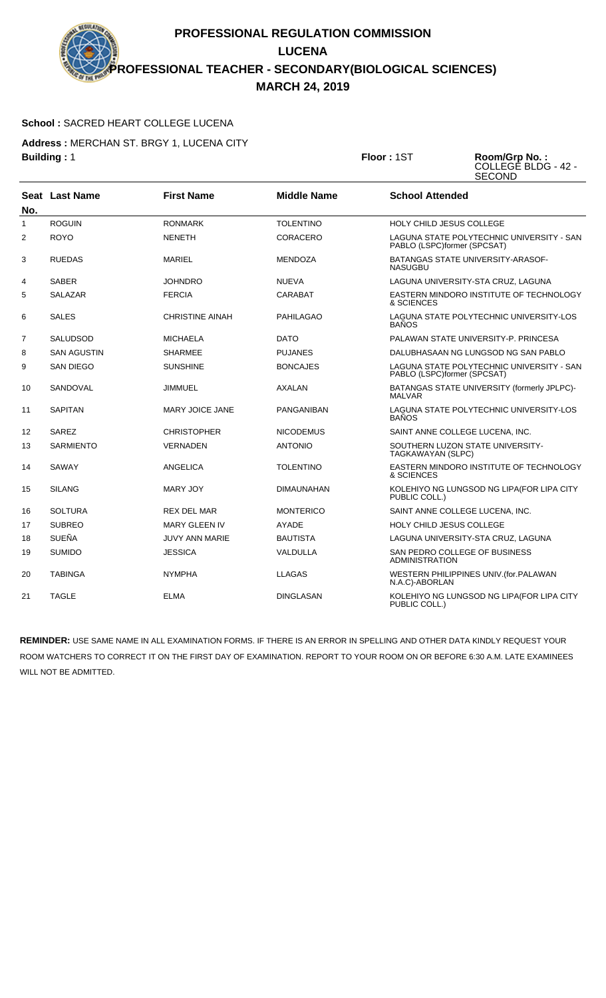# **School :** SACRED HEART COLLEGE LUCENA

**Address :** MERCHAN ST. BRGY 1, LUCENA CITY **Building :** 1 **Floor :** 1ST **Room/Grp No. :**

COLLEGE BLDG - 42 - SECOND

| No.            | <b>Seat Last Name</b> | <b>First Name</b>      | <b>Middle Name</b> | <b>School Attended</b>                                                   |
|----------------|-----------------------|------------------------|--------------------|--------------------------------------------------------------------------|
| 1              | <b>ROGUIN</b>         | <b>RONMARK</b>         | <b>TOLENTINO</b>   | <b>HOLY CHILD JESUS COLLEGE</b>                                          |
| $\overline{2}$ | <b>ROYO</b>           | <b>NENETH</b>          | <b>CORACERO</b>    | LAGUNA STATE POLYTECHNIC UNIVERSITY - SAN<br>PABLO (LSPC)former (SPCSAT) |
| 3              | <b>RUEDAS</b>         | <b>MARIEL</b>          | <b>MENDOZA</b>     | BATANGAS STATE UNIVERSITY-ARASOF-<br><b>NASUGBU</b>                      |
| 4              | <b>SABER</b>          | <b>JOHNDRO</b>         | <b>NUEVA</b>       | LAGUNA UNIVERSITY-STA CRUZ, LAGUNA                                       |
| 5              | <b>SALAZAR</b>        | <b>FERCIA</b>          | <b>CARABAT</b>     | EASTERN MINDORO INSTITUTE OF TECHNOLOGY<br>& SCIENCES                    |
| 6              | <b>SALES</b>          | <b>CHRISTINE AINAH</b> | <b>PAHILAGAO</b>   | LAGUNA STATE POLYTECHNIC UNIVERSITY-LOS<br><b>BANOS</b>                  |
| 7              | SALUDSOD              | <b>MICHAELA</b>        | <b>DATO</b>        | PALAWAN STATE UNIVERSITY-P. PRINCESA                                     |
| 8              | <b>SAN AGUSTIN</b>    | <b>SHARMEE</b>         | <b>PUJANES</b>     | DALUBHASAAN NG LUNGSOD NG SAN PABLO                                      |
| 9              | <b>SAN DIEGO</b>      | <b>SUNSHINE</b>        | <b>BONCAJES</b>    | LAGUNA STATE POLYTECHNIC UNIVERSITY - SAN<br>PABLO (LSPC)former (SPCSAT) |
| 10             | SANDOVAL              | JIMMUEL                | <b>AXALAN</b>      | BATANGAS STATE UNIVERSITY (formerly JPLPC)-<br><b>MALVAR</b>             |
| 11             | <b>SAPITAN</b>        | <b>MARY JOICE JANE</b> | PANGANIBAN         | LAGUNA STATE POLYTECHNIC UNIVERSITY-LOS<br><b>BANOS</b>                  |
| 12             | <b>SAREZ</b>          | <b>CHRISTOPHER</b>     | <b>NICODEMUS</b>   | SAINT ANNE COLLEGE LUCENA, INC.                                          |
| 13             | <b>SARMIENTO</b>      | <b>VERNADEN</b>        | <b>ANTONIO</b>     | SOUTHERN LUZON STATE UNIVERSITY-<br>TAGKAWAYAN (SLPC)                    |
| 14             | SAWAY                 | ANGELICA               | <b>TOLENTINO</b>   | EASTERN MINDORO INSTITUTE OF TECHNOLOGY<br>& SCIENCES                    |
| 15             | <b>SILANG</b>         | <b>MARY JOY</b>        | <b>DIMAUNAHAN</b>  | KOLEHIYO NG LUNGSOD NG LIPA (FOR LIPA CITY<br>PUBLIC COLL.)              |
| 16             | <b>SOLTURA</b>        | <b>REX DEL MAR</b>     | <b>MONTERICO</b>   | SAINT ANNE COLLEGE LUCENA, INC.                                          |
| 17             | <b>SUBREO</b>         | <b>MARY GLEEN IV</b>   | AYADE              | HOLY CHILD JESUS COLLEGE                                                 |
| 18             | <b>SUEÑA</b>          | <b>JUVY ANN MARIE</b>  | <b>BAUTISTA</b>    | LAGUNA UNIVERSITY-STA CRUZ, LAGUNA                                       |
| 19             | <b>SUMIDO</b>         | <b>JESSICA</b>         | VALDULLA           | SAN PEDRO COLLEGE OF BUSINESS<br><b>ADMINISTRATION</b>                   |
| 20             | <b>TABINGA</b>        | <b>NYMPHA</b>          | <b>LLAGAS</b>      | WESTERN PHILIPPINES UNIV.(for.PALAWAN<br>N.A.C)-ABORLAN                  |
| 21             | <b>TAGLE</b>          | <b>ELMA</b>            | <b>DINGLASAN</b>   | KOLEHIYO NG LUNGSOD NG LIPA(FOR LIPA CITY<br>PUBLIC COLL.)               |